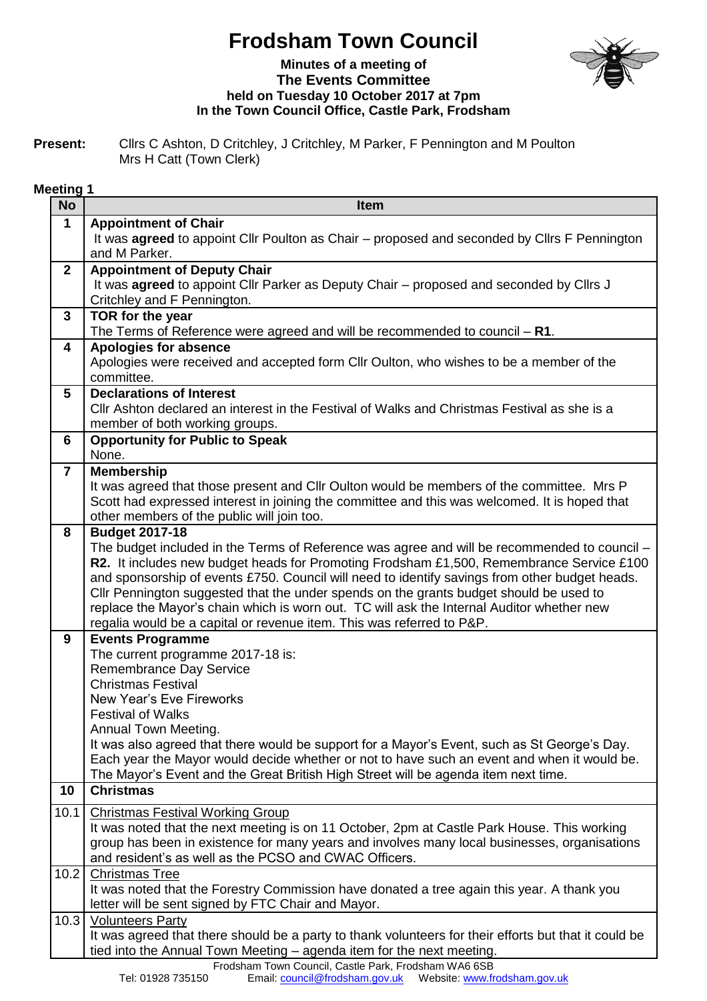## **Frodsham Town Council**



## **Minutes of a meeting of The Events Committee held on Tuesday 10 October 2017 at 7pm In the Town Council Office, Castle Park, Frodsham**

**Present:** Cllrs C Ashton, D Critchley, J Critchley, M Parker, F Pennington and M Poulton Mrs H Catt (Town Clerk)

## **Meeting 1**

| <b>No</b>      | <b>Item</b>                                                                                                                                                                              |
|----------------|------------------------------------------------------------------------------------------------------------------------------------------------------------------------------------------|
| $\mathbf{1}$   | <b>Appointment of Chair</b>                                                                                                                                                              |
|                | It was <b>agreed</b> to appoint Cllr Poulton as Chair – proposed and seconded by Cllrs F Pennington                                                                                      |
|                | and M Parker.                                                                                                                                                                            |
| $\overline{2}$ | <b>Appointment of Deputy Chair</b>                                                                                                                                                       |
|                | It was agreed to appoint Cllr Parker as Deputy Chair - proposed and seconded by Cllrs J<br>Critchley and F Pennington.                                                                   |
| $\mathbf{3}$   | TOR for the year                                                                                                                                                                         |
|                | The Terms of Reference were agreed and will be recommended to council $- R1$ .                                                                                                           |
| 4              | <b>Apologies for absence</b>                                                                                                                                                             |
|                | Apologies were received and accepted form Cllr Oulton, who wishes to be a member of the                                                                                                  |
|                | committee.                                                                                                                                                                               |
| 5              | <b>Declarations of Interest</b>                                                                                                                                                          |
|                | CIIr Ashton declared an interest in the Festival of Walks and Christmas Festival as she is a                                                                                             |
|                | member of both working groups.                                                                                                                                                           |
| 6              | <b>Opportunity for Public to Speak</b><br>None.                                                                                                                                          |
| $\overline{7}$ | <b>Membership</b>                                                                                                                                                                        |
|                | It was agreed that those present and CIIr Oulton would be members of the committee. Mrs P                                                                                                |
|                | Scott had expressed interest in joining the committee and this was welcomed. It is hoped that                                                                                            |
|                | other members of the public will join too.                                                                                                                                               |
| 8              | <b>Budget 2017-18</b>                                                                                                                                                                    |
|                | The budget included in the Terms of Reference was agree and will be recommended to council –                                                                                             |
|                | R2. It includes new budget heads for Promoting Frodsham £1,500, Remembrance Service £100                                                                                                 |
|                | and sponsorship of events £750. Council will need to identify savings from other budget heads.<br>Cllr Pennington suggested that the under spends on the grants budget should be used to |
|                | replace the Mayor's chain which is worn out. TC will ask the Internal Auditor whether new                                                                                                |
|                | regalia would be a capital or revenue item. This was referred to P&P.                                                                                                                    |
| 9              | <b>Events Programme</b>                                                                                                                                                                  |
|                | The current programme 2017-18 is:                                                                                                                                                        |
|                | Remembrance Day Service                                                                                                                                                                  |
|                | <b>Christmas Festival</b>                                                                                                                                                                |
|                | <b>New Year's Eve Fireworks</b>                                                                                                                                                          |
|                | <b>Festival of Walks</b><br><b>Annual Town Meeting</b>                                                                                                                                   |
|                | It was also agreed that there would be support for a Mayor's Event, such as St George's Day.                                                                                             |
|                | Each year the Mayor would decide whether or not to have such an event and when it would be.                                                                                              |
|                | The Mayor's Event and the Great British High Street will be agenda item next time.                                                                                                       |
| 10             | <b>Christmas</b>                                                                                                                                                                         |
| 10.1           | <b>Christmas Festival Working Group</b>                                                                                                                                                  |
|                | It was noted that the next meeting is on 11 October, 2pm at Castle Park House. This working                                                                                              |
|                | group has been in existence for many years and involves many local businesses, organisations                                                                                             |
|                | and resident's as well as the PCSO and CWAC Officers.                                                                                                                                    |
| 10.2           | <b>Christmas Tree</b>                                                                                                                                                                    |
|                | It was noted that the Forestry Commission have donated a tree again this year. A thank you                                                                                               |
| 10.3           | letter will be sent signed by FTC Chair and Mayor.<br><b>Volunteers Party</b>                                                                                                            |
|                | It was agreed that there should be a party to thank volunteers for their efforts but that it could be                                                                                    |
|                | tied into the Annual Town Meeting - agenda item for the next meeting.                                                                                                                    |
|                | Frodsham Town Council, Castle Park, Frodsham WA6 6SB                                                                                                                                     |